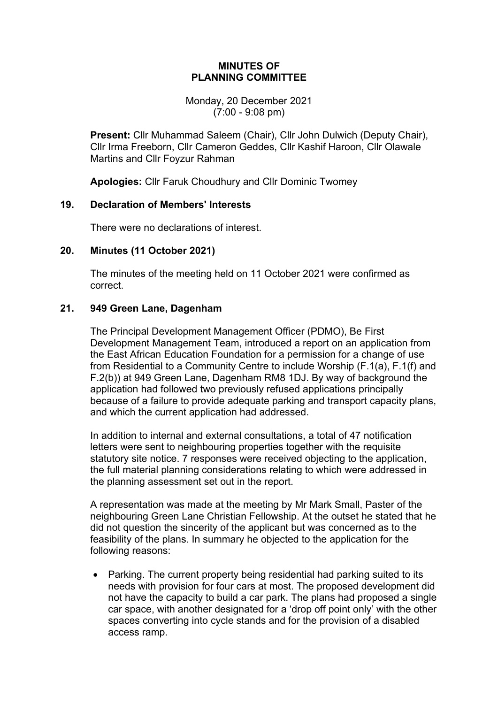#### **MINUTES OF PLANNING COMMITTEE**

Monday, 20 December 2021 (7:00 - 9:08 pm)

**Present:** Cllr Muhammad Saleem (Chair), Cllr John Dulwich (Deputy Chair), Cllr Irma Freeborn, Cllr Cameron Geddes, Cllr Kashif Haroon, Cllr Olawale Martins and Cllr Foyzur Rahman

**Apologies:** Cllr Faruk Choudhury and Cllr Dominic Twomey

## **19. Declaration of Members' Interests**

There were no declarations of interest.

## **20. Minutes (11 October 2021)**

The minutes of the meeting held on 11 October 2021 were confirmed as correct.

# **21. 949 Green Lane, Dagenham**

The Principal Development Management Officer (PDMO), Be First Development Management Team, introduced a report on an application from the East African Education Foundation for a permission for a change of use from Residential to a Community Centre to include Worship (F.1(a), F.1(f) and F.2(b)) at 949 Green Lane, Dagenham RM8 1DJ. By way of background the application had followed two previously refused applications principally because of a failure to provide adequate parking and transport capacity plans, and which the current application had addressed.

In addition to internal and external consultations, a total of 47 notification letters were sent to neighbouring properties together with the requisite statutory site notice. 7 responses were received objecting to the application, the full material planning considerations relating to which were addressed in the planning assessment set out in the report.

A representation was made at the meeting by Mr Mark Small, Paster of the neighbouring Green Lane Christian Fellowship. At the outset he stated that he did not question the sincerity of the applicant but was concerned as to the feasibility of the plans. In summary he objected to the application for the following reasons:

• Parking. The current property being residential had parking suited to its needs with provision for four cars at most. The proposed development did not have the capacity to build a car park. The plans had proposed a single car space, with another designated for a 'drop off point only' with the other spaces converting into cycle stands and for the provision of a disabled access ramp.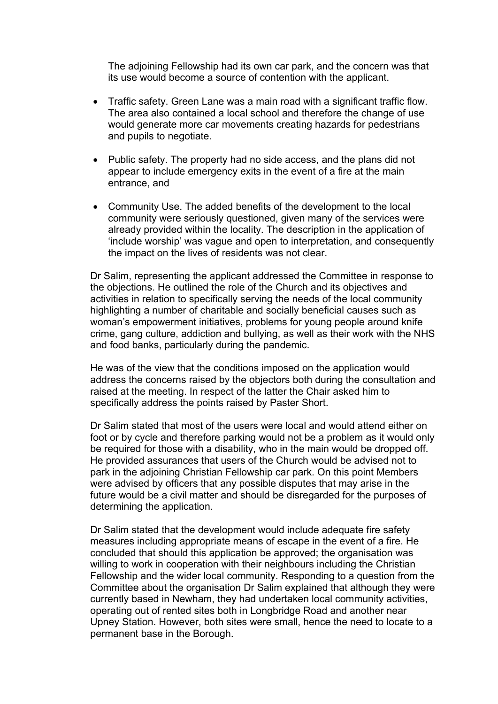The adjoining Fellowship had its own car park, and the concern was that its use would become a source of contention with the applicant.

- Traffic safety. Green Lane was a main road with a significant traffic flow. The area also contained a local school and therefore the change of use would generate more car movements creating hazards for pedestrians and pupils to negotiate.
- Public safety. The property had no side access, and the plans did not appear to include emergency exits in the event of a fire at the main entrance, and
- Community Use. The added benefits of the development to the local community were seriously questioned, given many of the services were already provided within the locality. The description in the application of 'include worship' was vague and open to interpretation, and consequently the impact on the lives of residents was not clear.

Dr Salim, representing the applicant addressed the Committee in response to the objections. He outlined the role of the Church and its objectives and activities in relation to specifically serving the needs of the local community highlighting a number of charitable and socially beneficial causes such as woman's empowerment initiatives, problems for young people around knife crime, gang culture, addiction and bullying, as well as their work with the NHS and food banks, particularly during the pandemic.

He was of the view that the conditions imposed on the application would address the concerns raised by the objectors both during the consultation and raised at the meeting. In respect of the latter the Chair asked him to specifically address the points raised by Paster Short.

Dr Salim stated that most of the users were local and would attend either on foot or by cycle and therefore parking would not be a problem as it would only be required for those with a disability, who in the main would be dropped off. He provided assurances that users of the Church would be advised not to park in the adjoining Christian Fellowship car park. On this point Members were advised by officers that any possible disputes that may arise in the future would be a civil matter and should be disregarded for the purposes of determining the application.

Dr Salim stated that the development would include adequate fire safety measures including appropriate means of escape in the event of a fire. He concluded that should this application be approved; the organisation was willing to work in cooperation with their neighbours including the Christian Fellowship and the wider local community. Responding to a question from the Committee about the organisation Dr Salim explained that although they were currently based in Newham, they had undertaken local community activities, operating out of rented sites both in Longbridge Road and another near Upney Station. However, both sites were small, hence the need to locate to a permanent base in the Borough.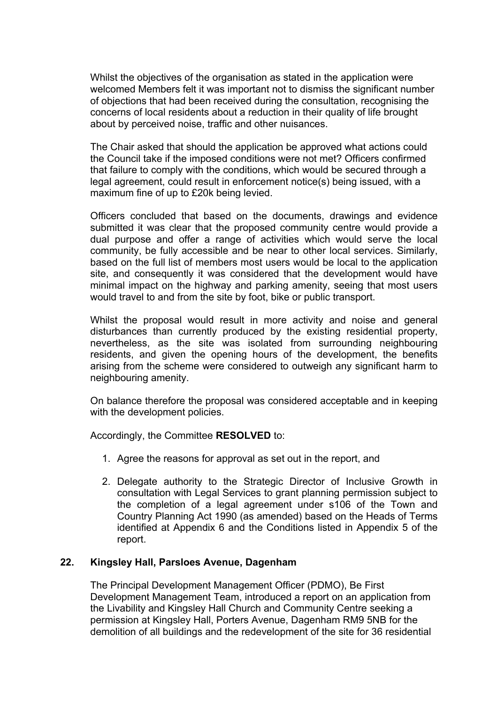Whilst the objectives of the organisation as stated in the application were welcomed Members felt it was important not to dismiss the significant number of objections that had been received during the consultation, recognising the concerns of local residents about a reduction in their quality of life brought about by perceived noise, traffic and other nuisances.

The Chair asked that should the application be approved what actions could the Council take if the imposed conditions were not met? Officers confirmed that failure to comply with the conditions, which would be secured through a legal agreement, could result in enforcement notice(s) being issued, with a maximum fine of up to £20k being levied.

Officers concluded that based on the documents, drawings and evidence submitted it was clear that the proposed community centre would provide a dual purpose and offer a range of activities which would serve the local community, be fully accessible and be near to other local services. Similarly, based on the full list of members most users would be local to the application site, and consequently it was considered that the development would have minimal impact on the highway and parking amenity, seeing that most users would travel to and from the site by foot, bike or public transport.

Whilst the proposal would result in more activity and noise and general disturbances than currently produced by the existing residential property, nevertheless, as the site was isolated from surrounding neighbouring residents, and given the opening hours of the development, the benefits arising from the scheme were considered to outweigh any significant harm to neighbouring amenity.

On balance therefore the proposal was considered acceptable and in keeping with the development policies.

Accordingly, the Committee **RESOLVED** to:

- 1. Agree the reasons for approval as set out in the report, and
- 2. Delegate authority to the Strategic Director of Inclusive Growth in consultation with Legal Services to grant planning permission subject to the completion of a legal agreement under s106 of the Town and Country Planning Act 1990 (as amended) based on the Heads of Terms identified at Appendix 6 and the Conditions listed in Appendix 5 of the report.

### **22. Kingsley Hall, Parsloes Avenue, Dagenham**

The Principal Development Management Officer (PDMO), Be First Development Management Team, introduced a report on an application from the Livability and Kingsley Hall Church and Community Centre seeking a permission at Kingsley Hall, Porters Avenue, Dagenham RM9 5NB for the demolition of all buildings and the redevelopment of the site for 36 residential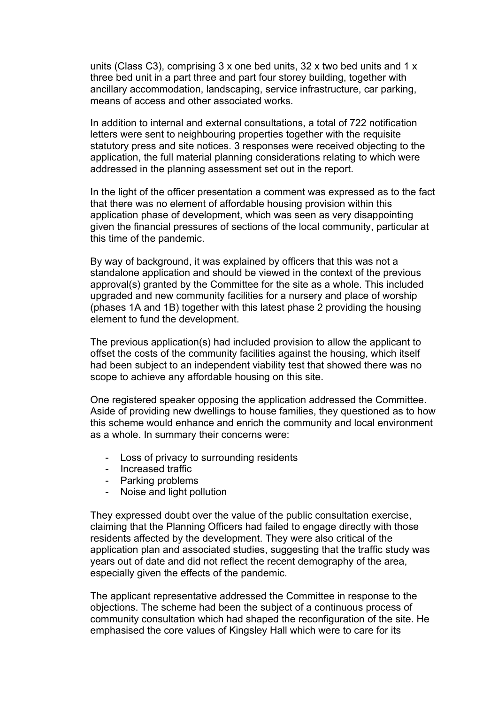units (Class C3), comprising 3 x one bed units, 32 x two bed units and 1 x three bed unit in a part three and part four storey building, together with ancillary accommodation, landscaping, service infrastructure, car parking, means of access and other associated works*.*

In addition to internal and external consultations, a total of 722 notification letters were sent to neighbouring properties together with the requisite statutory press and site notices. 3 responses were received objecting to the application, the full material planning considerations relating to which were addressed in the planning assessment set out in the report.

In the light of the officer presentation a comment was expressed as to the fact that there was no element of affordable housing provision within this application phase of development, which was seen as very disappointing given the financial pressures of sections of the local community, particular at this time of the pandemic.

By way of background, it was explained by officers that this was not a standalone application and should be viewed in the context of the previous approval(s) granted by the Committee for the site as a whole. This included upgraded and new community facilities for a nursery and place of worship (phases 1A and 1B) together with this latest phase 2 providing the housing element to fund the development.

The previous application(s) had included provision to allow the applicant to offset the costs of the community facilities against the housing, which itself had been subject to an independent viability test that showed there was no scope to achieve any affordable housing on this site.

One registered speaker opposing the application addressed the Committee. Aside of providing new dwellings to house families, they questioned as to how this scheme would enhance and enrich the community and local environment as a whole. In summary their concerns were:

- Loss of privacy to surrounding residents
- Increased traffic
- Parking problems
- Noise and light pollution

They expressed doubt over the value of the public consultation exercise, claiming that the Planning Officers had failed to engage directly with those residents affected by the development. They were also critical of the application plan and associated studies, suggesting that the traffic study was years out of date and did not reflect the recent demography of the area, especially given the effects of the pandemic.

The applicant representative addressed the Committee in response to the objections. The scheme had been the subject of a continuous process of community consultation which had shaped the reconfiguration of the site. He emphasised the core values of Kingsley Hall which were to care for its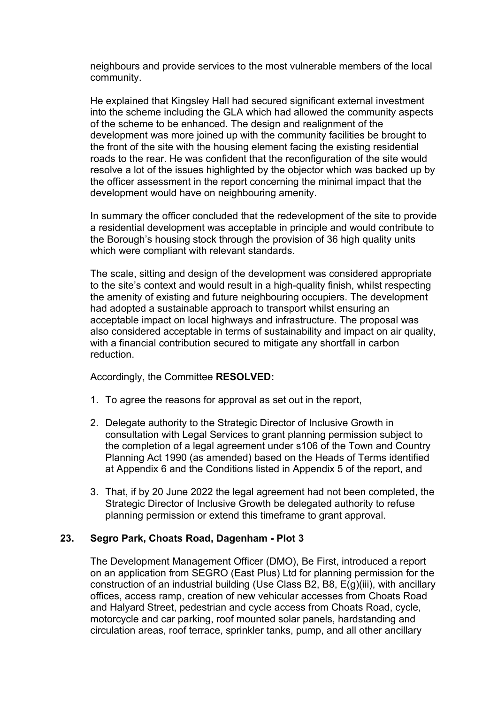neighbours and provide services to the most vulnerable members of the local community.

He explained that Kingsley Hall had secured significant external investment into the scheme including the GLA which had allowed the community aspects of the scheme to be enhanced. The design and realignment of the development was more joined up with the community facilities be brought to the front of the site with the housing element facing the existing residential roads to the rear. He was confident that the reconfiguration of the site would resolve a lot of the issues highlighted by the objector which was backed up by the officer assessment in the report concerning the minimal impact that the development would have on neighbouring amenity.

In summary the officer concluded that the redevelopment of the site to provide a residential development was acceptable in principle and would contribute to the Borough's housing stock through the provision of 36 high quality units which were compliant with relevant standards.

The scale, sitting and design of the development was considered appropriate to the site's context and would result in a high-quality finish, whilst respecting the amenity of existing and future neighbouring occupiers. The development had adopted a sustainable approach to transport whilst ensuring an acceptable impact on local highways and infrastructure. The proposal was also considered acceptable in terms of sustainability and impact on air quality, with a financial contribution secured to mitigate any shortfall in carbon reduction.

Accordingly, the Committee **RESOLVED:**

- 1. To agree the reasons for approval as set out in the report,
- 2. Delegate authority to the Strategic Director of Inclusive Growth in consultation with Legal Services to grant planning permission subject to the completion of a legal agreement under s106 of the Town and Country Planning Act 1990 (as amended) based on the Heads of Terms identified at Appendix 6 and the Conditions listed in Appendix 5 of the report, and
- 3. That, if by 20 June 2022 the legal agreement had not been completed, the Strategic Director of Inclusive Growth be delegated authority to refuse planning permission or extend this timeframe to grant approval.

#### **23. Segro Park, Choats Road, Dagenham - Plot 3**

The Development Management Officer (DMO), Be First, introduced a report on an application from SEGRO (East Plus) Ltd for planning permission for the construction of an industrial building (Use Class B2, B8, E(g)(iii), with ancillary offices, access ramp, creation of new vehicular accesses from Choats Road and Halyard Street, pedestrian and cycle access from Choats Road, cycle, motorcycle and car parking, roof mounted solar panels, hardstanding and circulation areas, roof terrace, sprinkler tanks, pump, and all other ancillary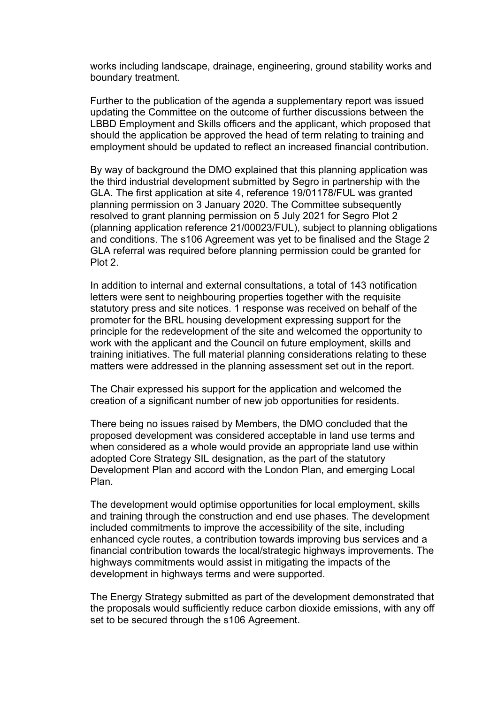works including landscape, drainage, engineering, ground stability works and boundary treatment.

Further to the publication of the agenda a supplementary report was issued updating the Committee on the outcome of further discussions between the LBBD Employment and Skills officers and the applicant, which proposed that should the application be approved the head of term relating to training and employment should be updated to reflect an increased financial contribution.

By way of background the DMO explained that this planning application was the third industrial development submitted by Segro in partnership with the GLA. The first application at site 4, reference 19/01178/FUL was granted planning permission on 3 January 2020. The Committee subsequently resolved to grant planning permission on 5 July 2021 for Segro Plot 2 (planning application reference 21/00023/FUL), subject to planning obligations and conditions. The s106 Agreement was yet to be finalised and the Stage 2 GLA referral was required before planning permission could be granted for Plot<sub>2</sub>

In addition to internal and external consultations, a total of 143 notification letters were sent to neighbouring properties together with the requisite statutory press and site notices. 1 response was received on behalf of the promoter for the BRL housing development expressing support for the principle for the redevelopment of the site and welcomed the opportunity to work with the applicant and the Council on future employment, skills and training initiatives. The full material planning considerations relating to these matters were addressed in the planning assessment set out in the report.

The Chair expressed his support for the application and welcomed the creation of a significant number of new job opportunities for residents.

There being no issues raised by Members, the DMO concluded that the proposed development was considered acceptable in land use terms and when considered as a whole would provide an appropriate land use within adopted Core Strategy SIL designation, as the part of the statutory Development Plan and accord with the London Plan, and emerging Local Plan.

The development would optimise opportunities for local employment, skills and training through the construction and end use phases. The development included commitments to improve the accessibility of the site, including enhanced cycle routes, a contribution towards improving bus services and a financial contribution towards the local/strategic highways improvements. The highways commitments would assist in mitigating the impacts of the development in highways terms and were supported.

The Energy Strategy submitted as part of the development demonstrated that the proposals would sufficiently reduce carbon dioxide emissions, with any off set to be secured through the s106 Agreement.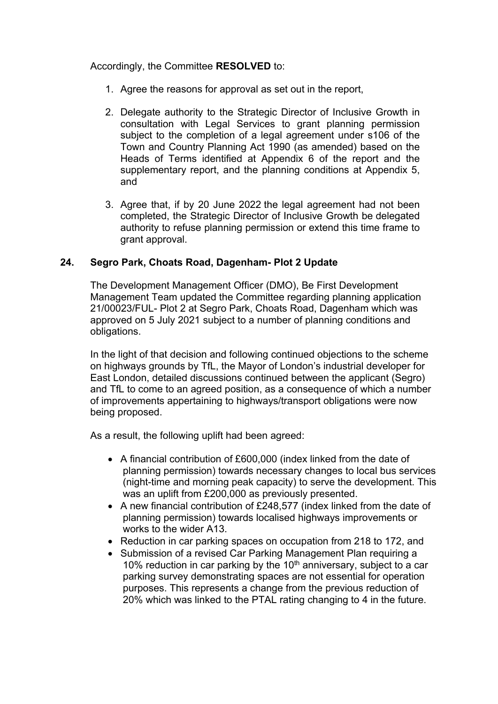Accordingly, the Committee **RESOLVED** to:

- 1. Agree the reasons for approval as set out in the report,
- 2. Delegate authority to the Strategic Director of Inclusive Growth in consultation with Legal Services to grant planning permission subject to the completion of a legal agreement under s106 of the Town and Country Planning Act 1990 (as amended) based on the Heads of Terms identified at Appendix 6 of the report and the supplementary report, and the planning conditions at Appendix 5, and
- 3. Agree that, if by 20 June 2022 the legal agreement had not been completed, the Strategic Director of Inclusive Growth be delegated authority to refuse planning permission or extend this time frame to grant approval.

# **24. Segro Park, Choats Road, Dagenham- Plot 2 Update**

The Development Management Officer (DMO), Be First Development Management Team updated the Committee regarding planning application 21/00023/FUL- Plot 2 at Segro Park, Choats Road, Dagenham which was approved on 5 July 2021 subject to a number of planning conditions and obligations.

In the light of that decision and following continued objections to the scheme on highways grounds by TfL, the Mayor of London's industrial developer for East London, detailed discussions continued between the applicant (Segro) and TfL to come to an agreed position, as a consequence of which a number of improvements appertaining to highways/transport obligations were now being proposed.

As a result, the following uplift had been agreed:

- A financial contribution of £600,000 (index linked from the date of planning permission) towards necessary changes to local bus services (night-time and morning peak capacity) to serve the development. This was an uplift from £200,000 as previously presented.
- A new financial contribution of £248,577 (index linked from the date of planning permission) towards localised highways improvements or works to the wider A13.
- Reduction in car parking spaces on occupation from 218 to 172, and
- Submission of a revised Car Parking Management Plan requiring a 10% reduction in car parking by the 10<sup>th</sup> anniversary, subject to a car parking survey demonstrating spaces are not essential for operation purposes. This represents a change from the previous reduction of 20% which was linked to the PTAL rating changing to 4 in the future.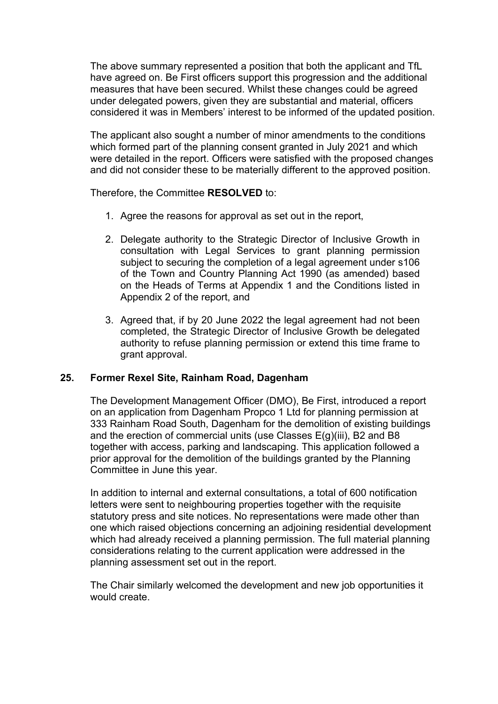The above summary represented a position that both the applicant and TfL have agreed on. Be First officers support this progression and the additional measures that have been secured. Whilst these changes could be agreed under delegated powers, given they are substantial and material, officers considered it was in Members' interest to be informed of the updated position.

The applicant also sought a number of minor amendments to the conditions which formed part of the planning consent granted in July 2021 and which were detailed in the report. Officers were satisfied with the proposed changes and did not consider these to be materially different to the approved position.

Therefore, the Committee **RESOLVED** to:

- 1. Agree the reasons for approval as set out in the report,
- 2. Delegate authority to the Strategic Director of Inclusive Growth in consultation with Legal Services to grant planning permission subject to securing the completion of a legal agreement under s106 of the Town and Country Planning Act 1990 (as amended) based on the Heads of Terms at Appendix 1 and the Conditions listed in Appendix 2 of the report, and
- 3. Agreed that, if by 20 June 2022 the legal agreement had not been completed, the Strategic Director of Inclusive Growth be delegated authority to refuse planning permission or extend this time frame to grant approval.

#### **25. Former Rexel Site, Rainham Road, Dagenham**

The Development Management Officer (DMO), Be First, introduced a report on an application from Dagenham Propco 1 Ltd for planning permission at 333 Rainham Road South, Dagenham for the demolition of existing buildings and the erection of commercial units (use Classes E(g)(iii), B2 and B8 together with access, parking and landscaping. This application followed a prior approval for the demolition of the buildings granted by the Planning Committee in June this year.

In addition to internal and external consultations, a total of 600 notification letters were sent to neighbouring properties together with the requisite statutory press and site notices. No representations were made other than one which raised objections concerning an adjoining residential development which had already received a planning permission. The full material planning considerations relating to the current application were addressed in the planning assessment set out in the report.

The Chair similarly welcomed the development and new job opportunities it would create.